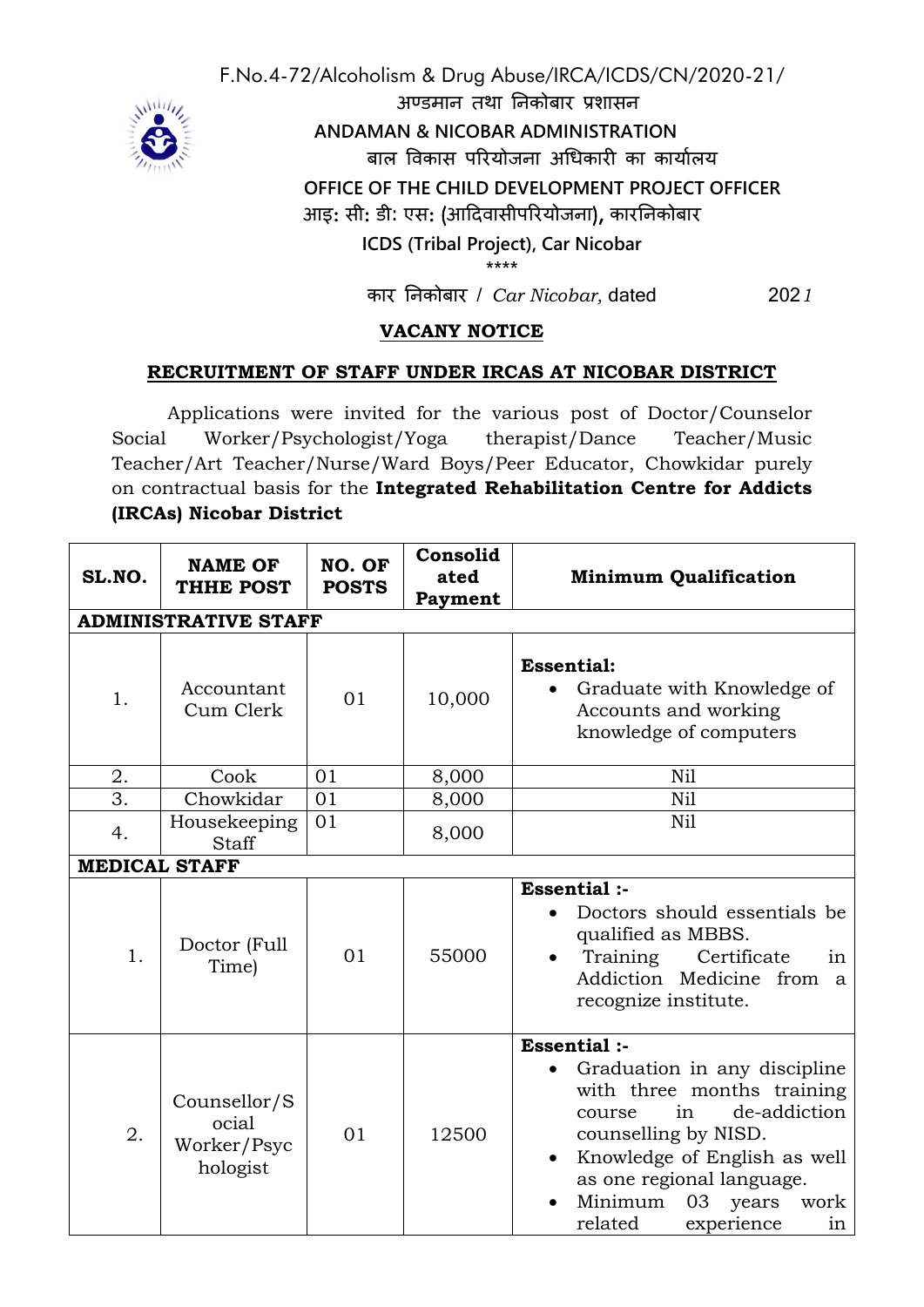

F.No.4-72/Alcoholism & Drug Abuse/IRCA/ICDS/CN/2020-21/ अण्डमान तथा ननकोबार प्रशासन  **ANDAMAN & NICOBAR ADMINISTRATION** बाल विकास परियोजना अधिकारी का कार्यालय **OFFICE OF THE CHILD DEVELOPMENT PROJECT OFFICER** आइ: सी: डी: एस: (आदििासीपररयोजना), कारननकोबार **ICDS (Tribal Project), Car Nicobar \*\*\*\***

कार ननकोबार / *Car Nicobar,* dated 202*1*

## **VACANY NOTICE**

## **RECRUITMENT OF STAFF UNDER IRCAS AT NICOBAR DISTRICT**

Applications were invited for the various post of Doctor/Counselor Social Worker/Psychologist/Yoga therapist/Dance Teacher/Music Teacher/Art Teacher/Nurse/Ward Boys/Peer Educator, Chowkidar purely on contractual basis for the **Integrated Rehabilitation Centre for Addicts (IRCAs) Nicobar District**

| SL.NO. | <b>NAME OF</b><br>THHE POST                      | NO. OF<br><b>POSTS</b> | Consolid<br>ated<br>Payment | <b>Minimum Qualification</b>                                                                                                                                                                                                                                  |
|--------|--------------------------------------------------|------------------------|-----------------------------|---------------------------------------------------------------------------------------------------------------------------------------------------------------------------------------------------------------------------------------------------------------|
|        | <b>ADMINISTRATIVE STAFF</b>                      |                        |                             |                                                                                                                                                                                                                                                               |
| 1.     | Accountant<br>Cum Clerk                          | 01                     | 10,000                      | <b>Essential:</b><br>Graduate with Knowledge of<br>Accounts and working<br>knowledge of computers                                                                                                                                                             |
| 2.     | Cook                                             | 01                     | 8,000                       | Nil                                                                                                                                                                                                                                                           |
| 3.     | Chowkidar                                        | 01                     | 8,000                       | Nil                                                                                                                                                                                                                                                           |
| 4.     | Housekeeping<br>Staff                            | 01                     | 8,000                       | Nil                                                                                                                                                                                                                                                           |
|        | <b>MEDICAL STAFF</b>                             |                        |                             |                                                                                                                                                                                                                                                               |
| 1.     | Doctor (Full<br>Time)                            | 01                     | 55000                       | Essential :-<br>Doctors should essentials be<br>qualified as MBBS.<br>Training<br>Certificate<br>in<br>Addiction Medicine from<br>$\mathbf{a}$<br>recognize institute.                                                                                        |
| 2.     | Counsellor/S<br>ocial<br>Worker/Psyc<br>hologist | 01                     | 12500                       | Essential :-<br>Graduation in any discipline<br>with three months training<br>de-addiction<br>in<br>course<br>counselling by NISD.<br>Knowledge of English as well<br>as one regional language.<br>Minimum<br>03 years<br>work<br>experience<br>related<br>in |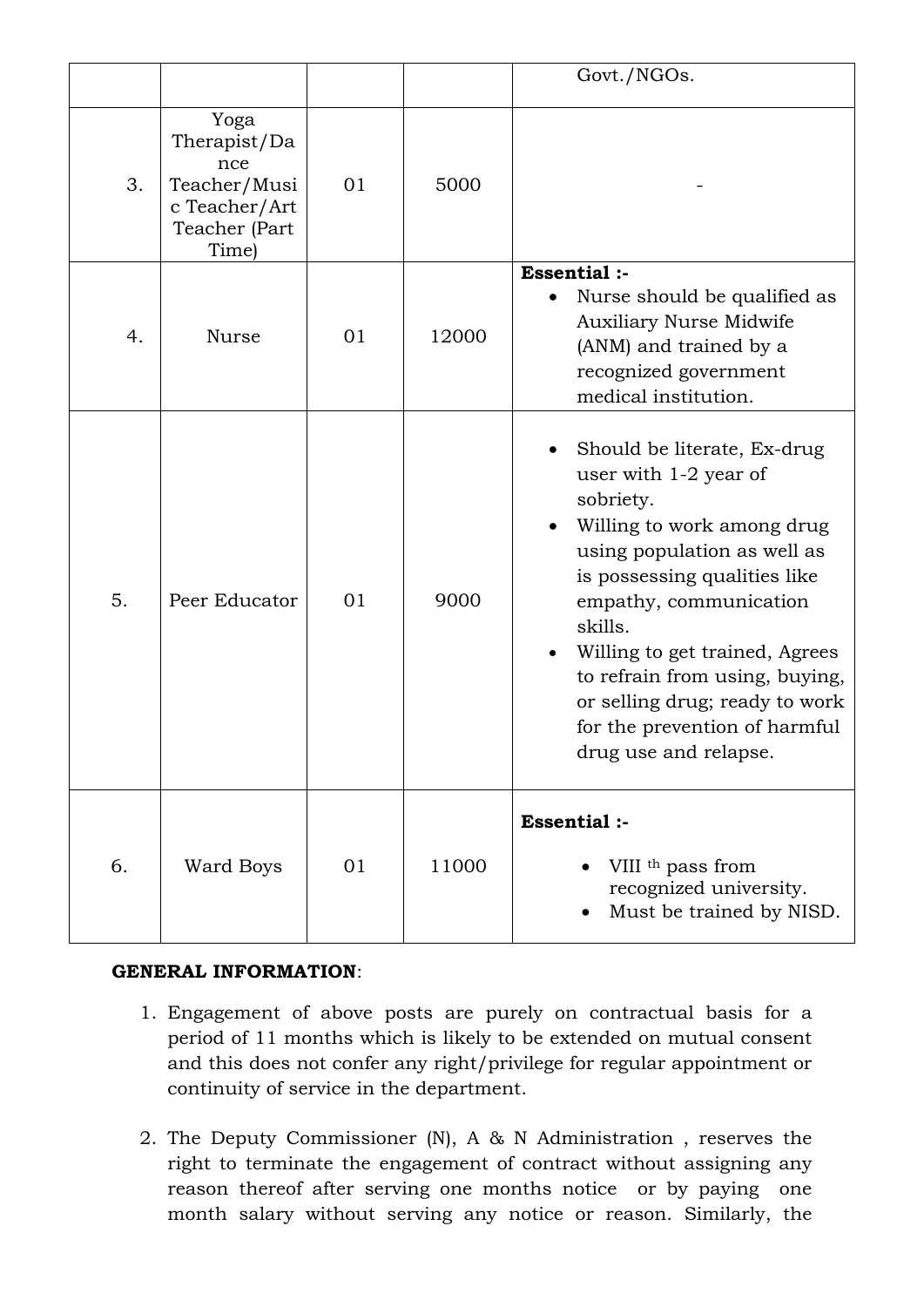|    |                                                                                        |    |       | Govt./NGOs.                                                                                                                                                                                                                                                                                                                                                         |
|----|----------------------------------------------------------------------------------------|----|-------|---------------------------------------------------------------------------------------------------------------------------------------------------------------------------------------------------------------------------------------------------------------------------------------------------------------------------------------------------------------------|
| 3. | Yoga<br>Therapist/Da<br>nce<br>Teacher/Musi<br>c Teacher/Art<br>Teacher (Part<br>Time) | 01 | 5000  |                                                                                                                                                                                                                                                                                                                                                                     |
| 4. | <b>Nurse</b>                                                                           | 01 | 12000 | <b>Essential :-</b><br>Nurse should be qualified as<br>$\bullet$<br><b>Auxiliary Nurse Midwife</b><br>(ANM) and trained by a<br>recognized government<br>medical institution.                                                                                                                                                                                       |
| 5. | Peer Educator                                                                          | 01 | 9000  | Should be literate, Ex-drug<br>user with 1-2 year of<br>sobriety.<br>Willing to work among drug<br>using population as well as<br>is possessing qualities like<br>empathy, communication<br>skills.<br>Willing to get trained, Agrees<br>to refrain from using, buying,<br>or selling drug; ready to work<br>for the prevention of harmful<br>drug use and relapse. |
| 6. | Ward Boys                                                                              | 01 | 11000 | Essential :-<br>VIII <sup>th</sup> pass from<br>recognized university.<br>Must be trained by NISD.                                                                                                                                                                                                                                                                  |

## **GENERAL INFORMATION**:

- 1. Engagement of above posts are purely on contractual basis for a period of 11 months which is likely to be extended on mutual consent and this does not confer any right/privilege for regular appointment or continuity of service in the department.
- 2. The Deputy Commissioner (N), A & N Administration , reserves the right to terminate the engagement of contract without assigning any reason thereof after serving one months notice or by paying one month salary without serving any notice or reason. Similarly, the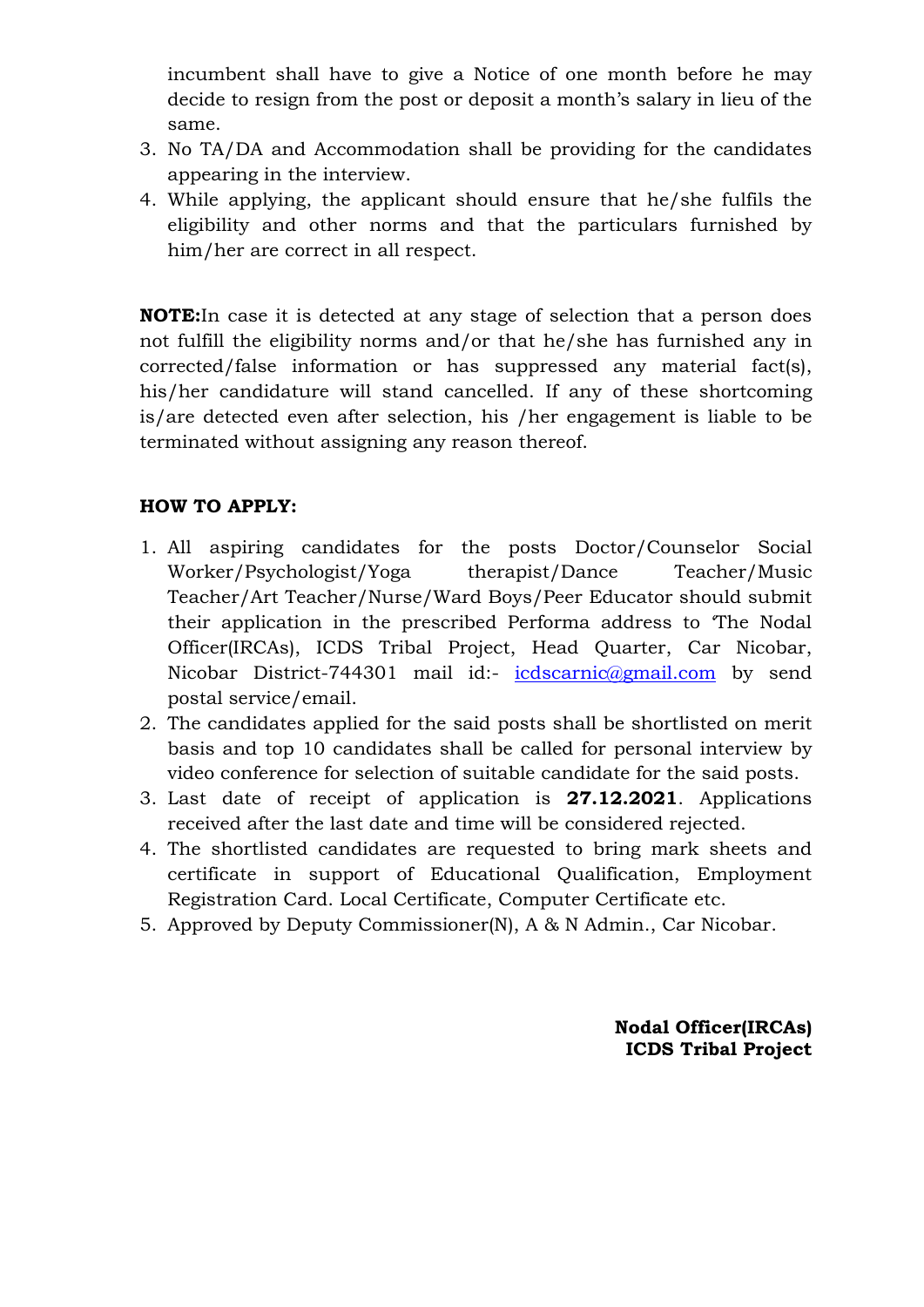incumbent shall have to give a Notice of one month before he may decide to resign from the post or deposit a month's salary in lieu of the same.

- 3. No TA/DA and Accommodation shall be providing for the candidates appearing in the interview.
- 4. While applying, the applicant should ensure that he/she fulfils the eligibility and other norms and that the particulars furnished by him/her are correct in all respect.

**NOTE:**In case it is detected at any stage of selection that a person does not fulfill the eligibility norms and/or that he/she has furnished any in corrected/false information or has suppressed any material fact(s), his/her candidature will stand cancelled. If any of these shortcoming is/are detected even after selection, his /her engagement is liable to be terminated without assigning any reason thereof.

## **HOW TO APPLY:**

- 1. All aspiring candidates for the posts Doctor/Counselor Social Worker/Psychologist/Yoga therapist/Dance Teacher/Music Teacher/Art Teacher/Nurse/Ward Boys/Peer Educator should submit their application in the prescribed Performa address to 'The Nodal Officer(IRCAs), ICDS Tribal Project, Head Quarter, Car Nicobar, Nicobar District-744301 mail id:- [icdscarnic@gmail.com](mailto:icdscarnic@gmail.com) by send postal service/email.
- 2. The candidates applied for the said posts shall be shortlisted on merit basis and top 10 candidates shall be called for personal interview by video conference for selection of suitable candidate for the said posts.
- 3. Last date of receipt of application is **27.12.2021**. Applications received after the last date and time will be considered rejected.
- 4. The shortlisted candidates are requested to bring mark sheets and certificate in support of Educational Qualification, Employment Registration Card. Local Certificate, Computer Certificate etc.
- 5. Approved by Deputy Commissioner(N), A & N Admin., Car Nicobar.

**Nodal Officer(IRCAs) ICDS Tribal Project**